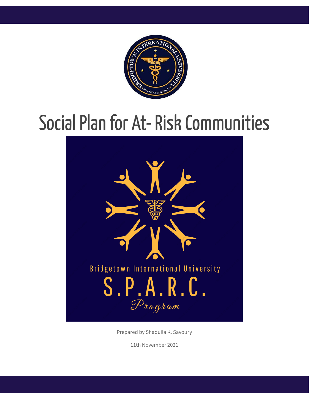

# Social Plan for At-Risk Communities



Prepared by Shaquila K. Savoury

11th November 2021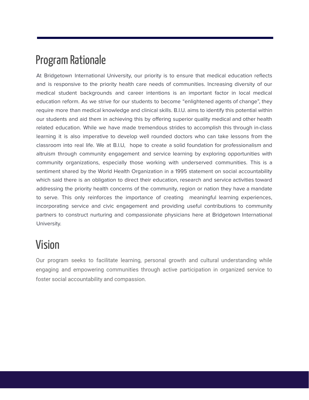## Program Rationale

At Bridgetown International University, our priority is to ensure that medical education reflects and is responsive to the priority health care needs of communities. Increasing diversity of our medical student backgrounds and career intentions is an important factor in local medical education reform. As we strive for our students to become "enlightened agents of change", they require more than medical knowledge and clinical skills. B.I.U. aims to identify this potential within our students and aid them in achieving this by offering superior quality medical and other health related education. While we have made tremendous strides to accomplish this through in-class learning it is also imperative to develop well rounded doctors who can take lessons from the classroom into real life. We at B.I.U, hope to create a solid foundation for professionalism and altruism through community engagement and service learning by exploring opportunities with community organizations, especially those working with underserved communities. This is a sentiment shared by the World Health Organization in a 1995 statement on social accountability which said there is an obligation to direct their education, research and service activities toward addressing the priority health concerns of the community, region or nation they have a mandate to serve. This only reinforces the importance of creating meaningful learning experiences, incorporating service and civic engagement and providing useful contributions to community partners to construct nurturing and compassionate physicians here at Bridgetown International University.

# Vision

Our program seeks to facilitate learning, personal growth and cultural understanding while engaging and empowering communities through active participation in organized service to foster social accountability and compassion.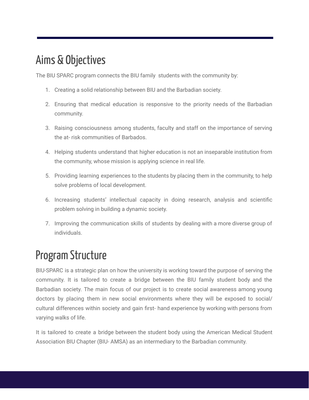# Aims & Objectives

The BIU SPARC program connects the BIU family students with the community by:

- 1. Creating a solid relationship between BIU and the Barbadian society.
- 2. Ensuring that medical education is responsive to the priority needs of the Barbadian community.
- 3. Raising consciousness among students, faculty and staff on the importance of serving the at- risk communities of Barbados.
- 4. Helping students understand that higher education is not an inseparable institution from the community, whose mission is applying science in real life.
- 5. Providing learning experiences to the students by placing them in the community, to help solve problems of local development.
- 6. Increasing students' intellectual capacity in doing research, analysis and scientific problem solving in building a dynamic society.
- 7. Improving the communication skills of students by dealing with a more diverse group of individuals.

# Program Structure

BIU-SPARC is a strategic plan on how the university is working toward the purpose of serving the community. It is tailored to create a bridge between the BIU family student body and the Barbadian society. The main focus of our project is to create social awareness among young doctors by placing them in new social environments where they will be exposed to social/ cultural differences within society and gain first- hand experience by working with persons from varying walks of life.

It is tailored to create a bridge between the student body using the American Medical Student Association BIU Chapter (BIU- AMSA) as an intermediary to the Barbadian community.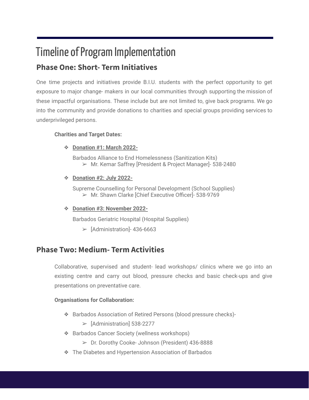### Timeline of Program Implementation **Phase One: Short- Term Initiatives**

One time projects and initiatives provide B.I.U. students with the perfect opportunity to get exposure to major change- makers in our local communities through supporting the mission of these impactful organisations. These include but are not limited to, give back programs. We go into the community and provide donations to charities and special groups providing services to underprivileged persons.

#### **Charities and Target Dates:**

❖ **Donation #1: March 2022-**

Barbados Alliance to End Homelessness (Sanitization Kits) ➢ Mr. Kemar Saffrey [President & Project Manager]- 538-2480

❖ **Donation #2: July 2022-**

Supreme Counselling for Personal Development (School Supplies) ➢ Mr. Shawn Clarke [Chief Executive Officer]- 538-9769

❖ **Donation #3: November 2022-**

Barbados Geriatric Hospital (Hospital Supplies)

 $\blacktriangleright$  [Administration]-436-6663

### **Phase Two: Medium- Term Activities**

Collaborative, supervised and student- lead workshops/ clinics where we go into an existing centre and carry out blood, pressure checks and basic check-ups and give presentations on preventative care.

#### **Organisations for Collaboration:**

- ❖ Barbados Association of Retired Persons (blood pressure checks)-
	- $\blacktriangleright$  [Administration] 538-2277
- ❖ Barbados Cancer Society (wellness workshops)
	- ➢ Dr. Dorothy Cooke- Johnson (President) 436-8888
- ❖ The Diabetes and Hypertension Association of Barbados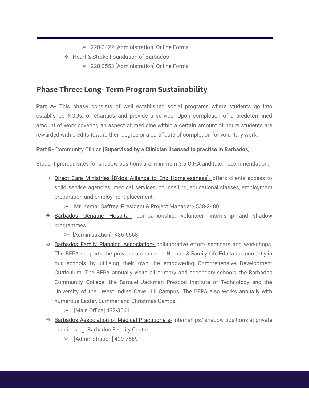- ➢ 228-3422 [Administration] Online Forms
- ❖ Heart & Stroke Foundation of Barbados
	- ➢ 228-3553 [Administration] Online Forms

### **Phase Three: Long- Term Program Sustainability**

**Part A-** This phase consists of well established social programs where students go into established NGOs, or charities and provide a service. Upon completion of a predetermined amount of work covering an aspect of medicine within a certain amount of hours students are rewarded with credits toward their degree or a certificate of completion for voluntary work.

#### **Part B-** Community Clinics **[Supervised by a Clinician licensed to practise in Barbados]**

Student prerequisites for shadow positions are: minimum 3.5 G.P.A and tutor recommendation.

- ❖ Direct Care Ministries [B'dos Alliance to End Homelessness]- offers clients access to solid service agencies, medical services, counselling, educational classes, employment preparation and employment placement.
	- ➢ Mr. Kemar Saffrey [President & Project Manager]- 538-2480
- ❖ Barbados Geriatric Hospital- companionship, volunteer, internship and shadow programmes.
	- $\blacktriangleright$  [Administration]-436-6663
- ❖ Barbados Family Planning Association- collaborative effort- seminars and workshops. The BFPA supports the proven curriculum in Human & Family Life Education currently in our schools by utilising their own life empowering Comprehensive Development Curriculum. The BFPA annually visits all primary and secondary schools, the Barbados Community College, the Samuel Jackman Prescod Institute of Technology and the University of the West Indies Cave Hill Campus. The BFPA also works annually with numerous Easter, Summer and Christmas Camps.
	- $\triangleright$  [Main Office] 437-3561
- ❖ Barbados Association of Medical Practitioners- internships/ shadow positions at private practices eg. Barbados Fertility Centre
	- ➢ [Administration] 429-7569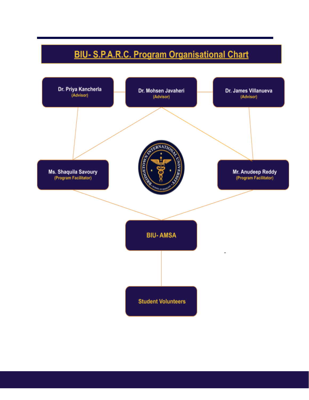### **BIU- S.P.A.R.C. Program Organisational Chart**

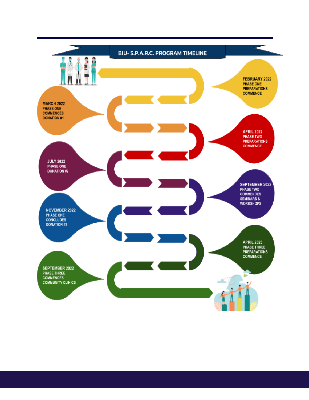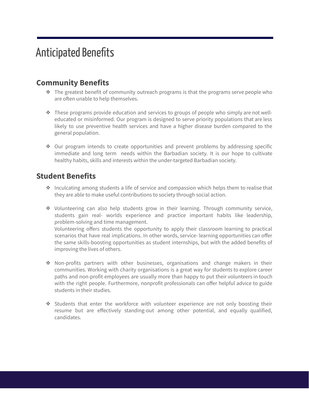## **Anticipated Benefits**

### **Community Benefits**

- ❖ The greatest benefit of community outreach programs is that the programs serve people who are often unable to help themselves.
- ❖ These programs provide education and services to groups of people who simply are not welleducated or misinformed. Our program is designed to serve priority populations that are less likely to use preventive health services and have a higher disease burden compared to the general population.
- ❖ Our program intends to create opportunities and prevent problems by addressing specific immediate and long term needs within the Barbadian society. It is our hope to cultivate healthy habits, skills and interests within the under-targeted Barbadian society.

### **Student Benefits**

- ❖ Inculcating among students a life of service and compassion which helps them to realise that they are able to make useful contributions to society through social action.
- ❖ Volunteering can also help students grow in their learning. Through community service, students gain real- worlds experience and practice important habits like leadership, problem-solving and time management. Volunteering offers students the opportunity to apply their classroom learning to practical scenarios that have real implications. In other words, service- learning opportunities can offer the same skills-boosting opportunities as student internships, but with the added benefits of improving the lives of others.
- ❖ Non-profits partners with other businesses, organisations and change makers in their communities. Working with charity organisations is a great way for students to explore career paths and non-profit employees are usually more than happy to put their volunteers in touch with the right people. Furthermore, nonprofit professionals can offer helpful advice to guide students in their studies.
- ❖ Students that enter the workforce with volunteer experience are not only boosting their resume but are effectively standing-out among other potential, and equally qualified, candidates.